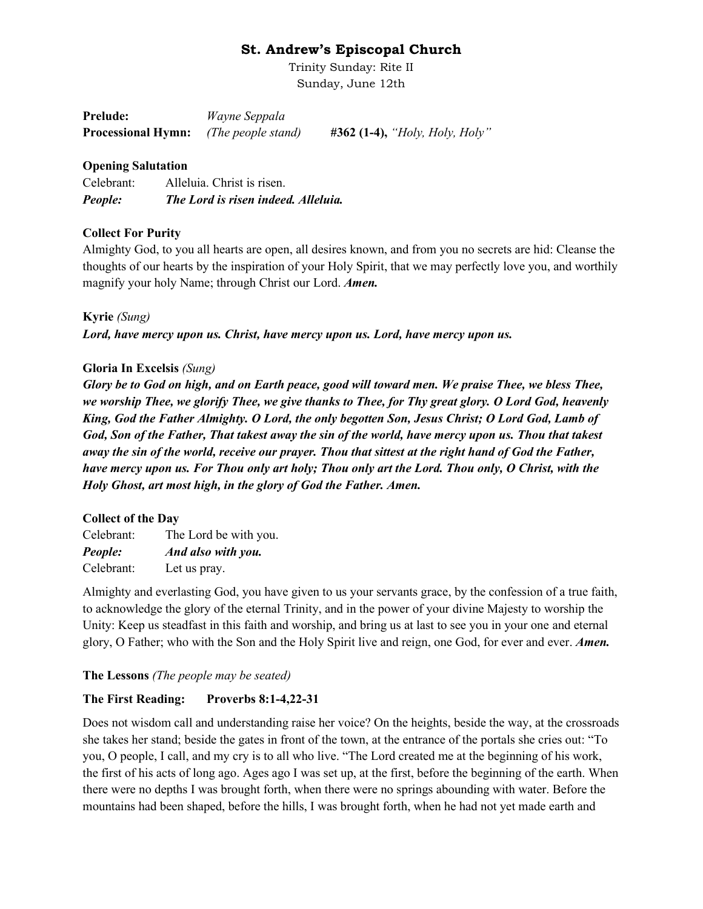Trinity Sunday: Rite II Sunday, June 12th

| <b>Prelude:</b>           | <i>Wayne Seppala</i> |                                |
|---------------------------|----------------------|--------------------------------|
| <b>Processional Hymn:</b> | (The people stand)   | #362 (1-4), "Holy, Holy, Holy" |

#### **Opening Salutation**

| Celebrant: | Alleluia. Christ is risen.          |
|------------|-------------------------------------|
| People:    | The Lord is risen indeed. Alleluia. |

#### **Collect For Purity**

Almighty God, to you all hearts are open, all desires known, and from you no secrets are hid: Cleanse the thoughts of our hearts by the inspiration of your Holy Spirit, that we may perfectly love you, and worthily magnify your holy Name; through Christ our Lord. *Amen.*

**Kyrie** *(Sung) Lord, have mercy upon us. Christ, have mercy upon us. Lord, have mercy upon us.*

#### **Gloria In Excelsis** *(Sung)*

*Glory be to God on high, and on Earth peace, good will toward men. We praise Thee, we bless Thee, we worship Thee, we glorify Thee, we give thanks to Thee, for Thy great glory. O Lord God, heavenly King, God the Father Almighty. O Lord, the only begotten Son, Jesus Christ; O Lord God, Lamb of God, Son of the Father, That takest away the sin of the world, have mercy upon us. Thou that takest away the sin of the world, receive our prayer. Thou that sittest at the right hand of God the Father, have mercy upon us. For Thou only art holy; Thou only art the Lord. Thou only, O Christ, with the Holy Ghost, art most high, in the glory of God the Father. Amen.*

### **Collect of the Day**

| Celebrant: | The Lord be with you. |
|------------|-----------------------|
| People:    | And also with you.    |
| Celebrant: | Let us pray.          |

Almighty and everlasting God, you have given to us your servants grace, by the confession of a true faith, to acknowledge the glory of the eternal Trinity, and in the power of your divine Majesty to worship the Unity: Keep us steadfast in this faith and worship, and bring us at last to see you in your one and eternal glory, O Father; who with the Son and the Holy Spirit live and reign, one God, for ever and ever. *Amen.*

### **The Lessons** *(The people may be seated)*

### **The First Reading: Proverbs 8:1-4,22-31**

Does not wisdom call and understanding raise her voice? On the heights, beside the way, at the crossroads she takes her stand; beside the gates in front of the town, at the entrance of the portals she cries out: "To you, O people, I call, and my cry is to all who live. "The Lord created me at the beginning of his work, the first of his acts of long ago. Ages ago I was set up, at the first, before the beginning of the earth. When there were no depths I was brought forth, when there were no springs abounding with water. Before the mountains had been shaped, before the hills, I was brought forth, when he had not yet made earth and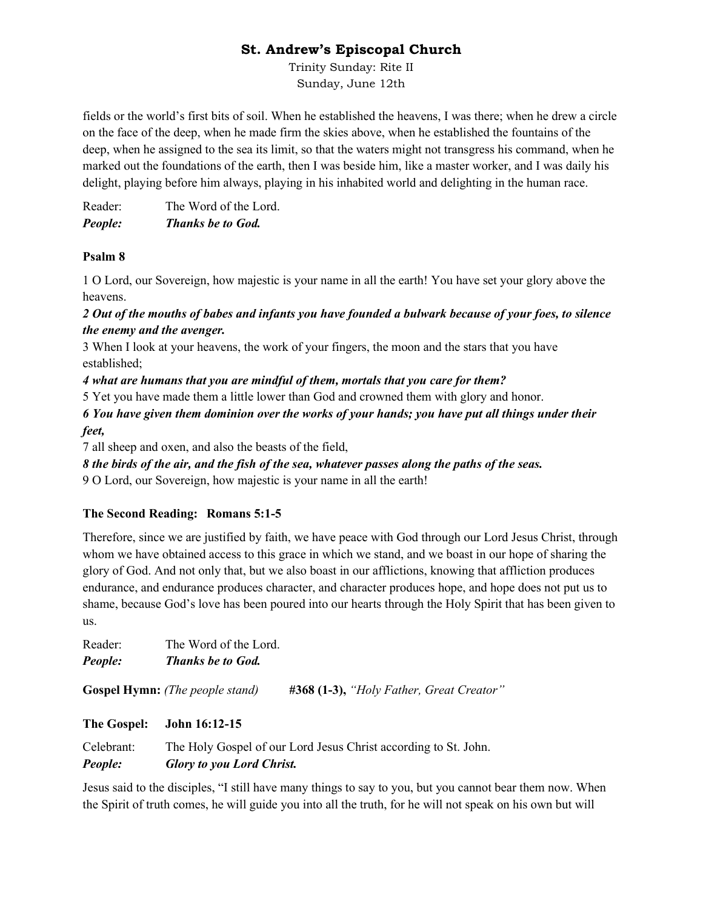Trinity Sunday: Rite II Sunday, June 12th

fields or the world's first bits of soil. When he established the heavens, I was there; when he drew a circle on the face of the deep, when he made firm the skies above, when he established the fountains of the deep, when he assigned to the sea its limit, so that the waters might not transgress his command, when he marked out the foundations of the earth, then I was beside him, like a master worker, and I was daily his delight, playing before him always, playing in his inhabited world and delighting in the human race.

| People: | <b>Thanks be to God.</b> |
|---------|--------------------------|
| Reader: | The Word of the Lord.    |

## **Psalm 8**

1 O Lord, our Sovereign, how majestic is your name in all the earth! You have set your glory above the heavens.

*2 Out of the mouths of babes and infants you have founded a bulwark because of your foes, to silence the enemy and the avenger.*

3 When I look at your heavens, the work of your fingers, the moon and the stars that you have established;

*4 what are humans that you are mindful of them, mortals that you care for them?*

5 Yet you have made them a little lower than God and crowned them with glory and honor.

*6 You have given them dominion over the works of your hands; you have put all things under their feet,*

7 all sheep and oxen, and also the beasts of the field,

*8 the birds of the air, and the fish of the sea, whatever passes along the paths of the seas.* 9 O Lord, our Sovereign, how majestic is your name in all the earth!

## **The Second Reading: Romans 5:1-5**

Therefore, since we are justified by faith, we have peace with God through our Lord Jesus Christ, through whom we have obtained access to this grace in which we stand, and we boast in our hope of sharing the glory of God. And not only that, but we also boast in our afflictions, knowing that affliction produces endurance, and endurance produces character, and character produces hope, and hope does not put us to shame, because God's love has been poured into our hearts through the Holy Spirit that has been given to us.

Reader: The Word of the Lord. *People: Thanks be to God.*

**Gospel Hymn:** *(The people stand)* **#368 (1-3),** *"Holy Father, Great Creator"*

**The Gospel: John 16:12-15**

| Celebrant: | The Holy Gospel of our Lord Jesus Christ according to St. John. |
|------------|-----------------------------------------------------------------|
| People:    | <b>Glory to you Lord Christ.</b>                                |

Jesus said to the disciples, "I still have many things to say to you, but you cannot bear them now. When the Spirit of truth comes, he will guide you into all the truth, for he will not speak on his own but will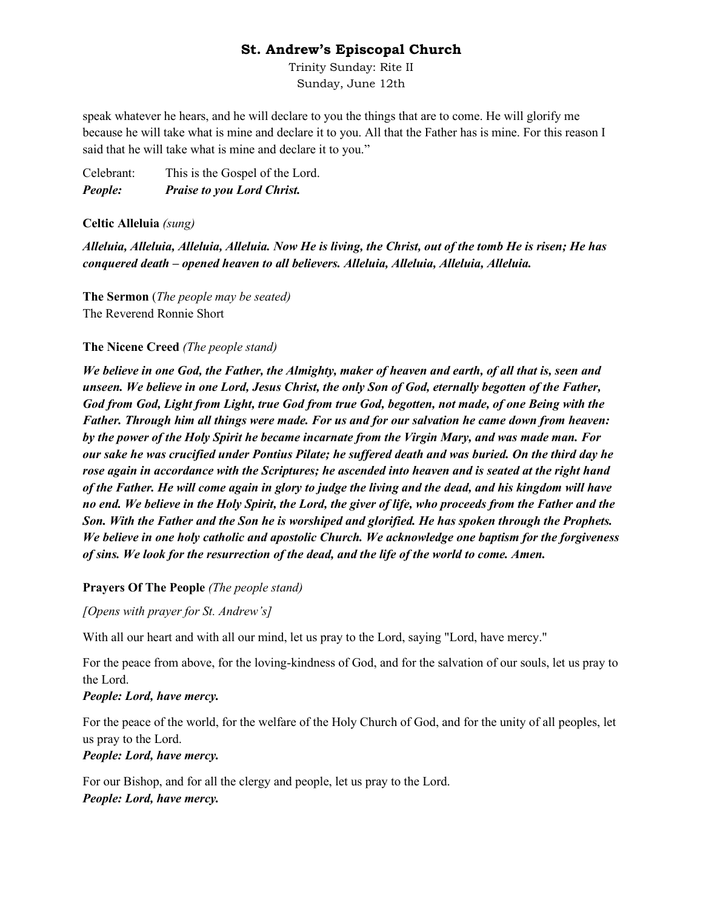Trinity Sunday: Rite II Sunday, June 12th

speak whatever he hears, and he will declare to you the things that are to come. He will glorify me because he will take what is mine and declare it to you. All that the Father has is mine. For this reason I said that he will take what is mine and declare it to you."

| People:    | <b>Praise to you Lord Christ.</b> |
|------------|-----------------------------------|
| Celebrant: | This is the Gospel of the Lord.   |

### **Celtic Alleluia** *(sung)*

*Alleluia, Alleluia, Alleluia, Alleluia. Now He is living, the Christ, out of the tomb He is risen; He has conquered death – opened heaven to all believers. Alleluia, Alleluia, Alleluia, Alleluia.*

**The Sermon** (*The people may be seated)* The Reverend Ronnie Short

### **The Nicene Creed** *(The people stand)*

*We believe in one God, the Father, the Almighty, maker of heaven and earth, of all that is, seen and unseen. We believe in one Lord, Jesus Christ, the only Son of God, eternally begotten of the Father, God from God, Light from Light, true God from true God, begotten, not made, of one Being with the Father. Through him all things were made. For us and for our salvation he came down from heaven: by the power of the Holy Spirit he became incarnate from the Virgin Mary, and was made man. For our sake he was crucified under Pontius Pilate; he suffered death and was buried. On the third day he rose again in accordance with the Scriptures; he ascended into heaven and is seated at the right hand of the Father. He will come again in glory to judge the living and the dead, and his kingdom will have no end. We believe in the Holy Spirit, the Lord, the giver of life, who proceeds from the Father and the Son. With the Father and the Son he is worshiped and glorified. He has spoken through the Prophets. We believe in one holy catholic and apostolic Church. We acknowledge one baptism for the forgiveness of sins. We look for the resurrection of the dead, and the life of the world to come. Amen.*

### **Prayers Of The People** *(The people stand)*

### *[Opens with prayer for St. Andrew's]*

With all our heart and with all our mind, let us pray to the Lord, saying "Lord, have mercy."

For the peace from above, for the loving-kindness of God, and for the salvation of our souls, let us pray to the Lord.

#### *People: Lord, have mercy.*

For the peace of the world, for the welfare of the Holy Church of God, and for the unity of all peoples, let us pray to the Lord.

### *People: Lord, have mercy.*

For our Bishop, and for all the clergy and people, let us pray to the Lord. *People: Lord, have mercy.*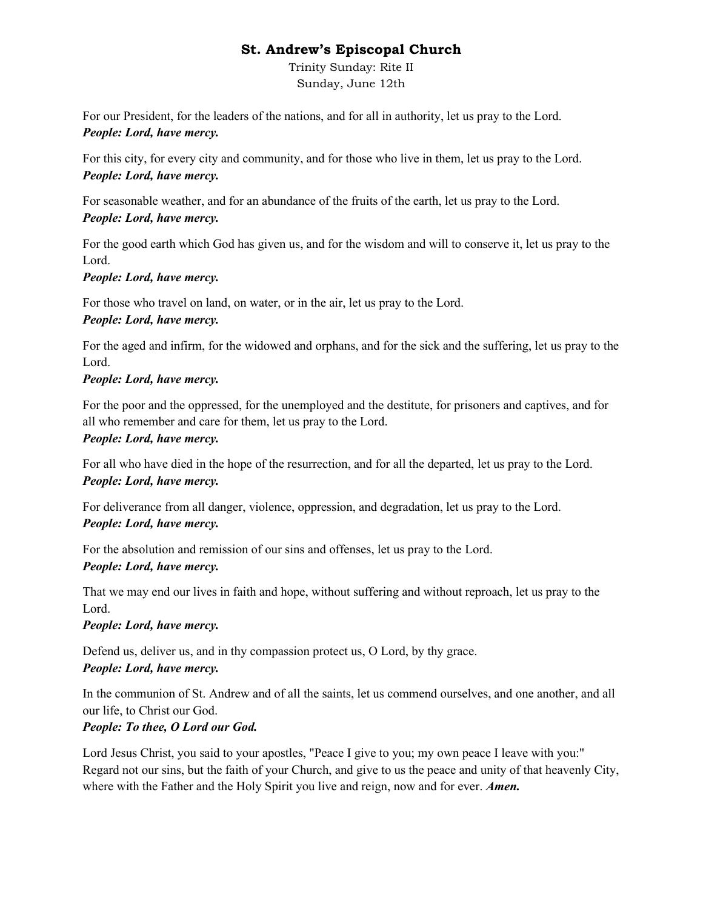Trinity Sunday: Rite II Sunday, June 12th

For our President, for the leaders of the nations, and for all in authority, let us pray to the Lord. *People: Lord, have mercy.*

For this city, for every city and community, and for those who live in them, let us pray to the Lord. *People: Lord, have mercy.*

For seasonable weather, and for an abundance of the fruits of the earth, let us pray to the Lord. *People: Lord, have mercy.*

For the good earth which God has given us, and for the wisdom and will to conserve it, let us pray to the Lord.

## *People: Lord, have mercy.*

For those who travel on land, on water, or in the air, let us pray to the Lord. *People: Lord, have mercy.*

For the aged and infirm, for the widowed and orphans, and for the sick and the suffering, let us pray to the Lord.

## *People: Lord, have mercy.*

For the poor and the oppressed, for the unemployed and the destitute, for prisoners and captives, and for all who remember and care for them, let us pray to the Lord.

### *People: Lord, have mercy.*

For all who have died in the hope of the resurrection, and for all the departed, let us pray to the Lord. *People: Lord, have mercy.*

For deliverance from all danger, violence, oppression, and degradation, let us pray to the Lord. *People: Lord, have mercy.*

For the absolution and remission of our sins and offenses, let us pray to the Lord. *People: Lord, have mercy.*

That we may end our lives in faith and hope, without suffering and without reproach, let us pray to the Lord.

### *People: Lord, have mercy.*

Defend us, deliver us, and in thy compassion protect us, O Lord, by thy grace.

## *People: Lord, have mercy.*

In the communion of St. Andrew and of all the saints, let us commend ourselves, and one another, and all our life, to Christ our God.

## *People: To thee, O Lord our God.*

Lord Jesus Christ, you said to your apostles, "Peace I give to you; my own peace I leave with you:" Regard not our sins, but the faith of your Church, and give to us the peace and unity of that heavenly City, where with the Father and the Holy Spirit you live and reign, now and for ever. *Amen.*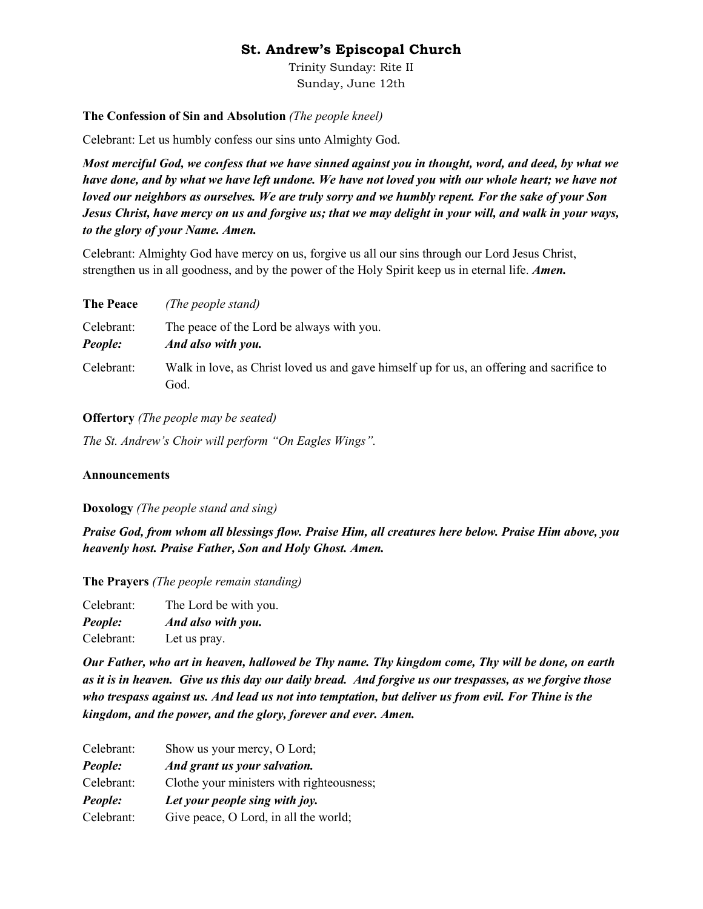Trinity Sunday: Rite II Sunday, June 12th

#### **The Confession of Sin and Absolution** *(The people kneel)*

Celebrant: Let us humbly confess our sins unto Almighty God.

*Most merciful God, we confess that we have sinned against you in thought, word, and deed, by what we have done, and by what we have left undone. We have not loved you with our whole heart; we have not loved our neighbors as ourselves. We are truly sorry and we humbly repent. For the sake of your Son Jesus Christ, have mercy on us and forgive us; that we may delight in your will, and walk in your ways, to the glory of your Name. Amen.*

Celebrant: Almighty God have mercy on us, forgive us all our sins through our Lord Jesus Christ, strengthen us in all goodness, and by the power of the Holy Spirit keep us in eternal life. *Amen.*

| <b>The Peace</b>      | (The people stand)                                                                                |
|-----------------------|---------------------------------------------------------------------------------------------------|
| Celebrant:<br>People: | The peace of the Lord be always with you.<br>And also with you.                                   |
| Celebrant:            | Walk in love, as Christ loved us and gave himself up for us, an offering and sacrifice to<br>God. |

#### **Offertory** *(The people may be seated)*

*The St. Andrew's Choir will perform "On Eagles Wings".*

#### **Announcements**

#### **Doxology** *(The people stand and sing)*

*Praise God, from whom all blessings flow. Praise Him, all creatures here below. Praise Him above, you heavenly host. Praise Father, Son and Holy Ghost. Amen.*

**The Prayers** *(The people remain standing)*

Celebrant: The Lord be with you. *People: And also with you.* Celebrant: Let us pray.

*Our Father, who art in heaven, hallowed be Thy name. Thy kingdom come, Thy will be done, on earth as it is in heaven. Give us this day our daily bread. And forgive us our trespasses, as we forgive those who trespass against us. And lead us not into temptation, but deliver us from evil. For Thine is the kingdom, and the power, and the glory, forever and ever. Amen.*

| Celebrant: | Show us your mercy, O Lord;               |
|------------|-------------------------------------------|
| People:    | And grant us your salvation.              |
| Celebrant: | Clothe your ministers with righteousness; |
| People:    | Let your people sing with joy.            |
| Celebrant: | Give peace, O Lord, in all the world;     |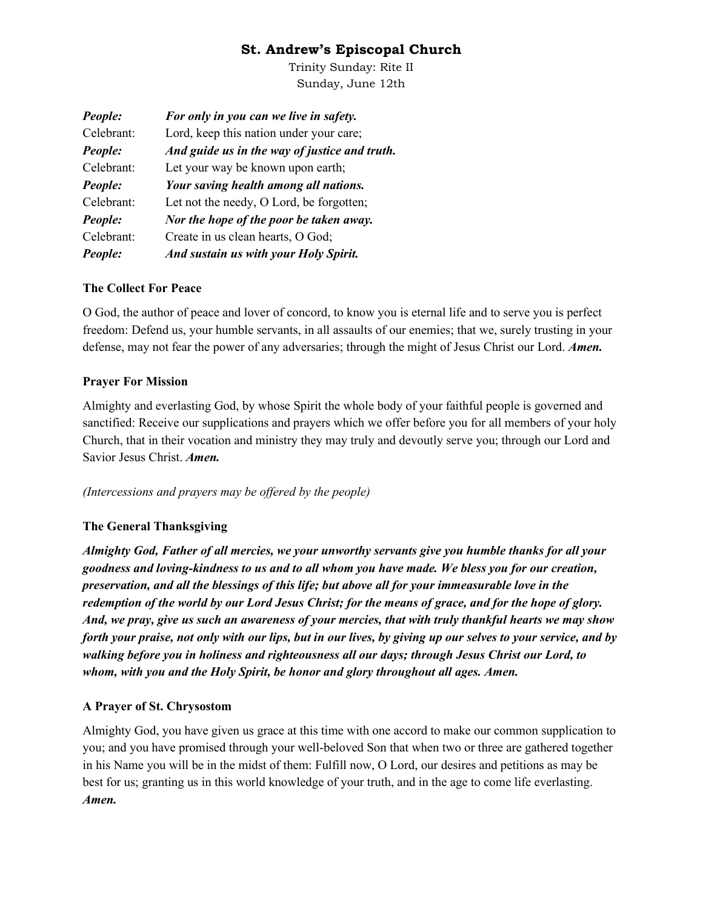Trinity Sunday: Rite II Sunday, June 12th

| People:    | For only in you can we live in safety.        |
|------------|-----------------------------------------------|
| Celebrant: | Lord, keep this nation under your care;       |
| People:    | And guide us in the way of justice and truth. |
| Celebrant: | Let your way be known upon earth;             |
| People:    | Your saving health among all nations.         |
| Celebrant: | Let not the needy, O Lord, be forgotten;      |
| People:    | Nor the hope of the poor be taken away.       |
| Celebrant: | Create in us clean hearts, O God;             |
| People:    | And sustain us with your Holy Spirit.         |

### **The Collect For Peace**

O God, the author of peace and lover of concord, to know you is eternal life and to serve you is perfect freedom: Defend us, your humble servants, in all assaults of our enemies; that we, surely trusting in your defense, may not fear the power of any adversaries; through the might of Jesus Christ our Lord. *Amen.*

#### **Prayer For Mission**

Almighty and everlasting God, by whose Spirit the whole body of your faithful people is governed and sanctified: Receive our supplications and prayers which we offer before you for all members of your holy Church, that in their vocation and ministry they may truly and devoutly serve you; through our Lord and Savior Jesus Christ. *Amen.*

#### *(Intercessions and prayers may be offered by the people)*

### **The General Thanksgiving**

*Almighty God, Father of all mercies, we your unworthy servants give you humble thanks for all your goodness and loving-kindness to us and to all whom you have made. We bless you for our creation, preservation, and all the blessings of this life; but above all for your immeasurable love in the redemption of the world by our Lord Jesus Christ; for the means of grace, and for the hope of glory. And, we pray, give us such an awareness of your mercies, that with truly thankful hearts we may show forth your praise, not only with our lips, but in our lives, by giving up our selves to your service, and by walking before you in holiness and righteousness all our days; through Jesus Christ our Lord, to whom, with you and the Holy Spirit, be honor and glory throughout all ages. Amen.*

### **A Prayer of St. Chrysostom**

Almighty God, you have given us grace at this time with one accord to make our common supplication to you; and you have promised through your well-beloved Son that when two or three are gathered together in his Name you will be in the midst of them: Fulfill now, O Lord, our desires and petitions as may be best for us; granting us in this world knowledge of your truth, and in the age to come life everlasting. *Amen.*